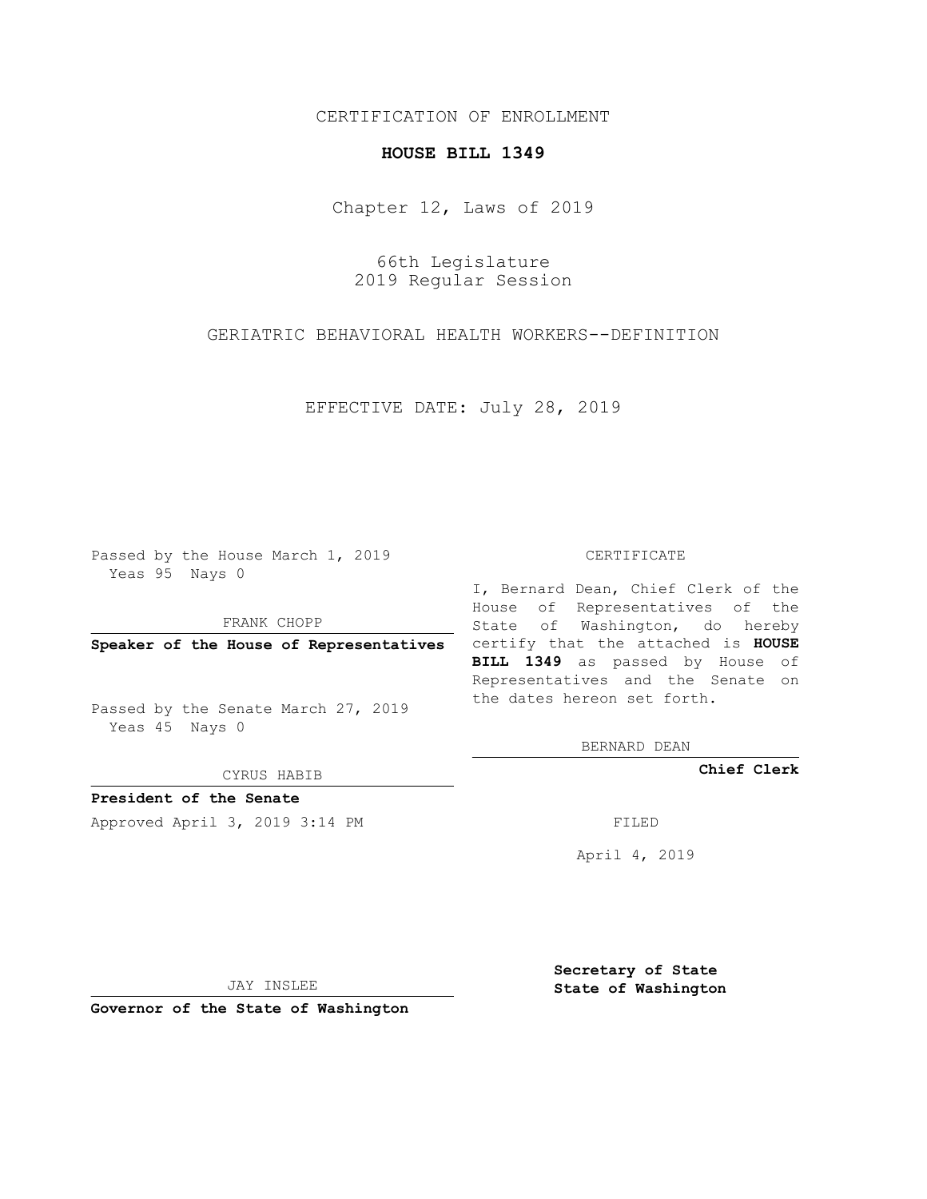## CERTIFICATION OF ENROLLMENT

## **HOUSE BILL 1349**

Chapter 12, Laws of 2019

66th Legislature 2019 Regular Session

GERIATRIC BEHAVIORAL HEALTH WORKERS--DEFINITION

EFFECTIVE DATE: July 28, 2019

Passed by the House March 1, 2019 Yeas 95 Nays 0

FRANK CHOPP

Passed by the Senate March 27, 2019 Yeas 45 Nays 0

CYRUS HABIB

**President of the Senate**

Approved April 3, 2019 3:14 PM FILED

## CERTIFICATE

**Speaker of the House of Representatives** certify that the attached is **HOUSE** I, Bernard Dean, Chief Clerk of the House of Representatives of the State of Washington, do hereby **BILL 1349** as passed by House of Representatives and the Senate on the dates hereon set forth.

BERNARD DEAN

**Chief Clerk**

April 4, 2019

JAY INSLEE

**Governor of the State of Washington**

**Secretary of State State of Washington**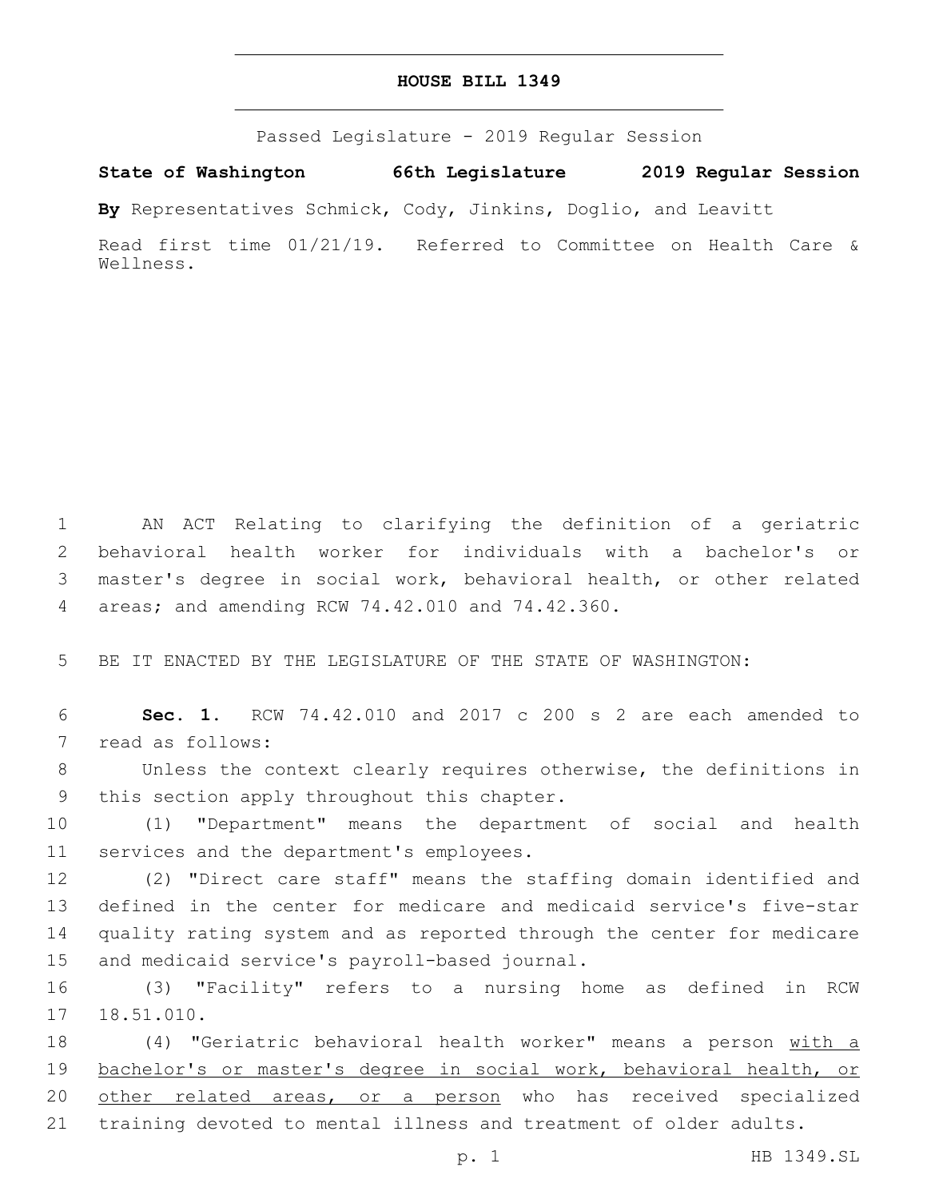## **HOUSE BILL 1349**

Passed Legislature - 2019 Regular Session

**State of Washington 66th Legislature 2019 Regular Session**

**By** Representatives Schmick, Cody, Jinkins, Doglio, and Leavitt

Read first time 01/21/19. Referred to Committee on Health Care & Wellness.

 AN ACT Relating to clarifying the definition of a geriatric behavioral health worker for individuals with a bachelor's or master's degree in social work, behavioral health, or other related areas; and amending RCW 74.42.010 and 74.42.360.4

5 BE IT ENACTED BY THE LEGISLATURE OF THE STATE OF WASHINGTON:

6 **Sec. 1.** RCW 74.42.010 and 2017 c 200 s 2 are each amended to 7 read as follows:

8 Unless the context clearly requires otherwise, the definitions in 9 this section apply throughout this chapter.

10 (1) "Department" means the department of social and health 11 services and the department's employees.

 (2) "Direct care staff" means the staffing domain identified and defined in the center for medicare and medicaid service's five-star quality rating system and as reported through the center for medicare 15 and medicaid service's payroll-based journal.

16 (3) "Facility" refers to a nursing home as defined in RCW 18.51.010.

 (4) "Geriatric behavioral health worker" means a person with a bachelor's or master's degree in social work, behavioral health, or 20 other related areas, or a person who has received specialized training devoted to mental illness and treatment of older adults.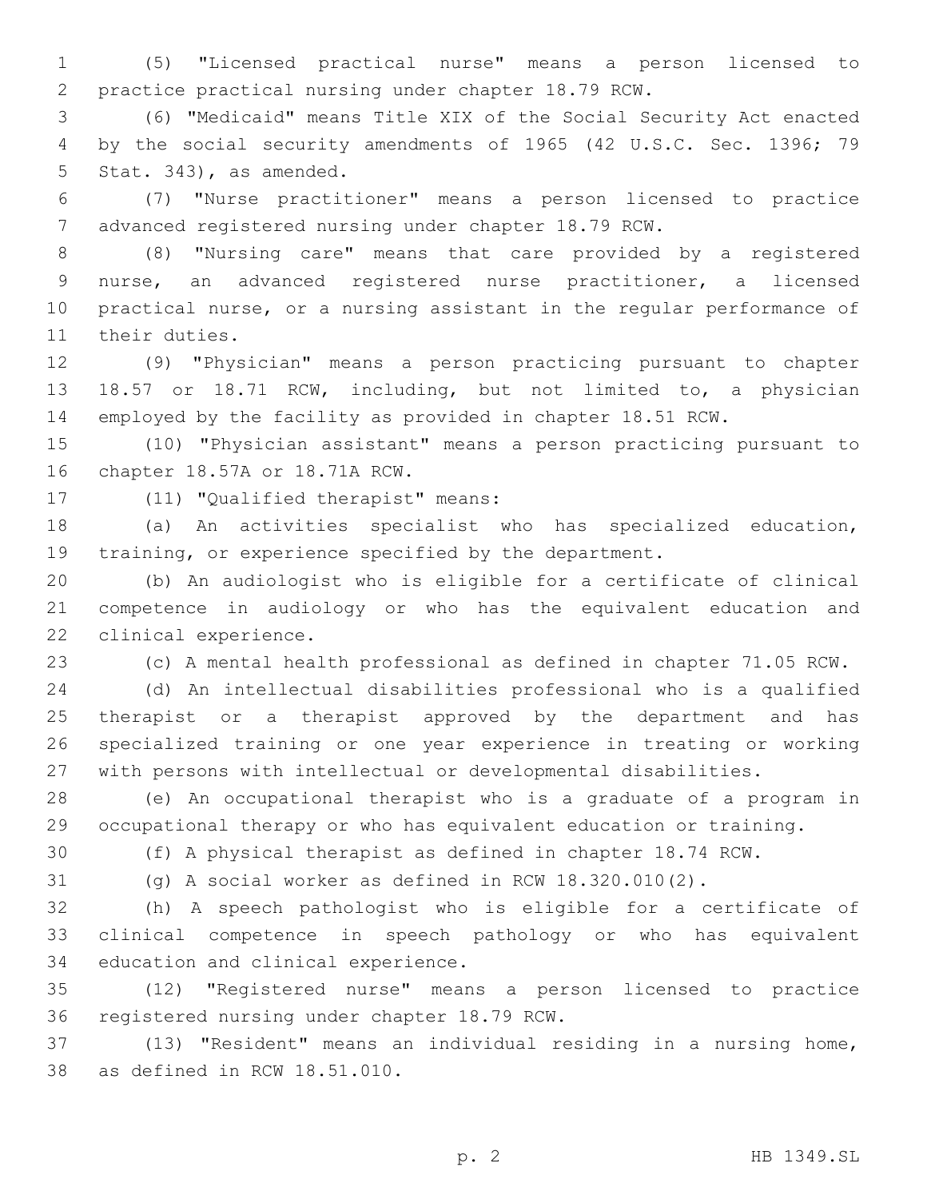(5) "Licensed practical nurse" means a person licensed to practice practical nursing under chapter 18.79 RCW.

 (6) "Medicaid" means Title XIX of the Social Security Act enacted by the social security amendments of 1965 (42 U.S.C. Sec. 1396; 79 5 Stat. 343), as amended.

 (7) "Nurse practitioner" means a person licensed to practice advanced registered nursing under chapter 18.79 RCW.

 (8) "Nursing care" means that care provided by a registered nurse, an advanced registered nurse practitioner, a licensed practical nurse, or a nursing assistant in the regular performance of 11 their duties.

 (9) "Physician" means a person practicing pursuant to chapter 18.57 or 18.71 RCW, including, but not limited to, a physician employed by the facility as provided in chapter 18.51 RCW.

 (10) "Physician assistant" means a person practicing pursuant to 16 chapter 18.57A or 18.71A RCW.

17 (11) "Qualified therapist" means:

 (a) An activities specialist who has specialized education, training, or experience specified by the department.

 (b) An audiologist who is eligible for a certificate of clinical competence in audiology or who has the equivalent education and 22 clinical experience.

(c) A mental health professional as defined in chapter 71.05 RCW.

 (d) An intellectual disabilities professional who is a qualified therapist or a therapist approved by the department and has specialized training or one year experience in treating or working with persons with intellectual or developmental disabilities.

 (e) An occupational therapist who is a graduate of a program in occupational therapy or who has equivalent education or training.

(f) A physical therapist as defined in chapter 18.74 RCW.

(g) A social worker as defined in RCW 18.320.010(2).

 (h) A speech pathologist who is eligible for a certificate of clinical competence in speech pathology or who has equivalent 34 education and clinical experience.

 (12) "Registered nurse" means a person licensed to practice 36 registered nursing under chapter 18.79 RCW.

 (13) "Resident" means an individual residing in a nursing home, 38 as defined in RCW 18.51.010.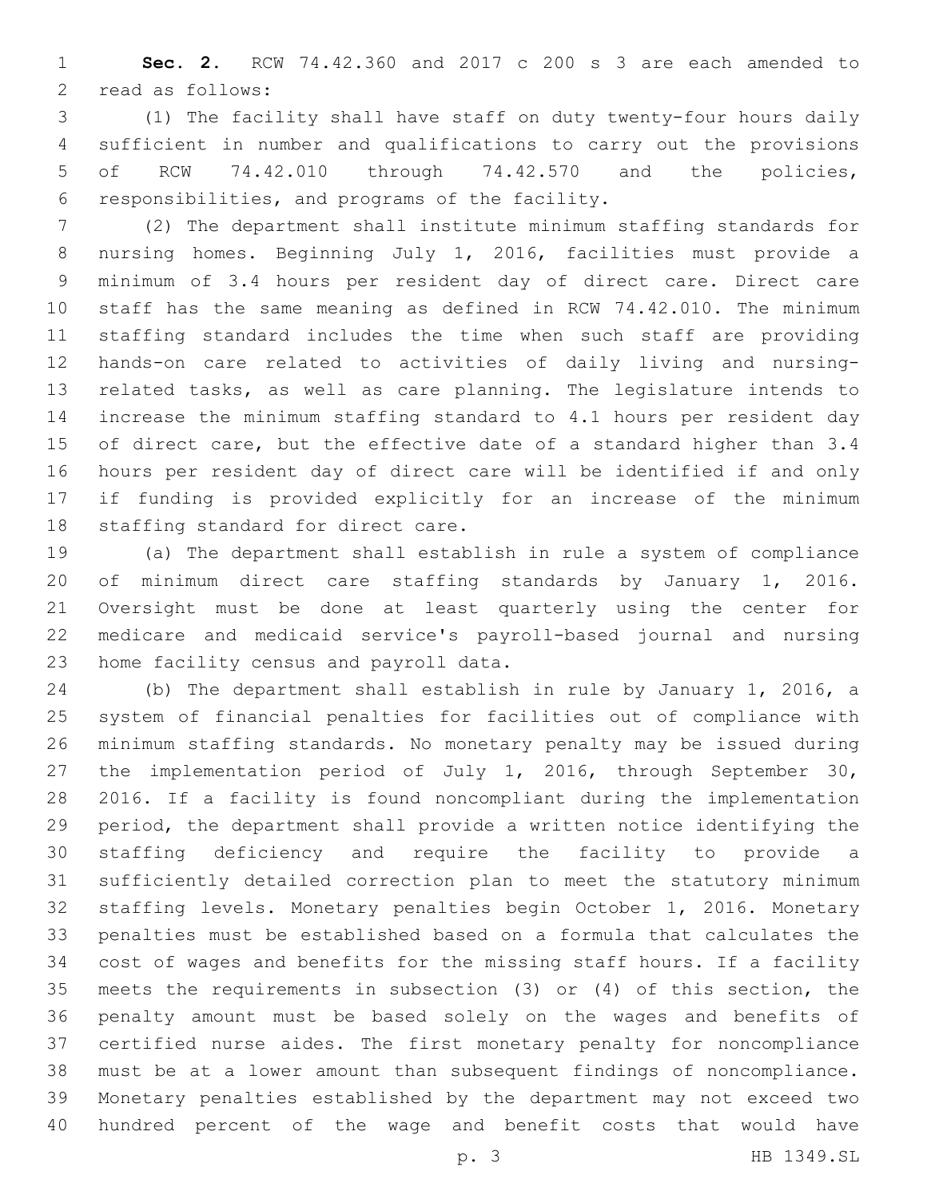**Sec. 2.** RCW 74.42.360 and 2017 c 200 s 3 are each amended to 2 read as follows:

 (1) The facility shall have staff on duty twenty-four hours daily sufficient in number and qualifications to carry out the provisions of RCW 74.42.010 through 74.42.570 and the policies, 6 responsibilities, and programs of the facility.

 (2) The department shall institute minimum staffing standards for nursing homes. Beginning July 1, 2016, facilities must provide a minimum of 3.4 hours per resident day of direct care. Direct care staff has the same meaning as defined in RCW 74.42.010. The minimum staffing standard includes the time when such staff are providing hands-on care related to activities of daily living and nursing- related tasks, as well as care planning. The legislature intends to increase the minimum staffing standard to 4.1 hours per resident day of direct care, but the effective date of a standard higher than 3.4 hours per resident day of direct care will be identified if and only if funding is provided explicitly for an increase of the minimum 18 staffing standard for direct care.

 (a) The department shall establish in rule a system of compliance of minimum direct care staffing standards by January 1, 2016. Oversight must be done at least quarterly using the center for medicare and medicaid service's payroll-based journal and nursing 23 home facility census and payroll data.

 (b) The department shall establish in rule by January 1, 2016, a system of financial penalties for facilities out of compliance with minimum staffing standards. No monetary penalty may be issued during the implementation period of July 1, 2016, through September 30, 2016. If a facility is found noncompliant during the implementation period, the department shall provide a written notice identifying the staffing deficiency and require the facility to provide a sufficiently detailed correction plan to meet the statutory minimum staffing levels. Monetary penalties begin October 1, 2016. Monetary penalties must be established based on a formula that calculates the cost of wages and benefits for the missing staff hours. If a facility meets the requirements in subsection (3) or (4) of this section, the penalty amount must be based solely on the wages and benefits of certified nurse aides. The first monetary penalty for noncompliance must be at a lower amount than subsequent findings of noncompliance. Monetary penalties established by the department may not exceed two hundred percent of the wage and benefit costs that would have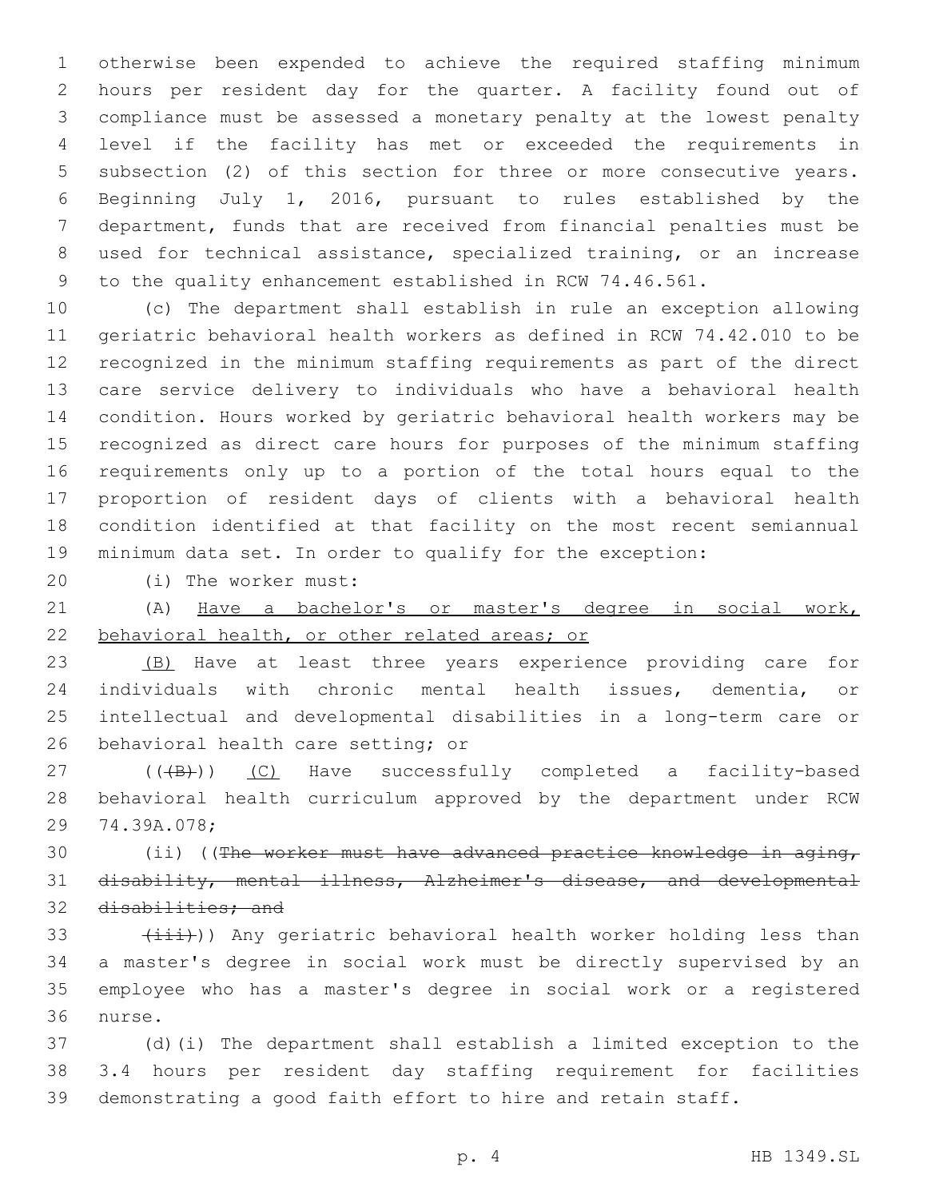otherwise been expended to achieve the required staffing minimum hours per resident day for the quarter. A facility found out of compliance must be assessed a monetary penalty at the lowest penalty level if the facility has met or exceeded the requirements in subsection (2) of this section for three or more consecutive years. Beginning July 1, 2016, pursuant to rules established by the department, funds that are received from financial penalties must be used for technical assistance, specialized training, or an increase to the quality enhancement established in RCW 74.46.561.

 (c) The department shall establish in rule an exception allowing geriatric behavioral health workers as defined in RCW 74.42.010 to be recognized in the minimum staffing requirements as part of the direct care service delivery to individuals who have a behavioral health condition. Hours worked by geriatric behavioral health workers may be recognized as direct care hours for purposes of the minimum staffing requirements only up to a portion of the total hours equal to the proportion of resident days of clients with a behavioral health condition identified at that facility on the most recent semiannual minimum data set. In order to qualify for the exception:

(i) The worker must:20

 (A) Have a bachelor's or master's degree in social work, behavioral health, or other related areas; or

23 (B) Have at least three years experience providing care for individuals with chronic mental health issues, dementia, or intellectual and developmental disabilities in a long-term care or 26 behavioral health care setting; or

27 (((B)) (C) Have successfully completed a facility-based behavioral health curriculum approved by the department under RCW 29 74.39A.078;

30 (ii) ((The worker must have advanced practice knowledge in aging, disability, mental illness, Alzheimer's disease, and developmental 32 disabilities; and

  $(\overrightarrow{\text{iii}}))$  Any geriatric behavioral health worker holding less than a master's degree in social work must be directly supervised by an employee who has a master's degree in social work or a registered 36 nurse.

 (d)(i) The department shall establish a limited exception to the 3.4 hours per resident day staffing requirement for facilities demonstrating a good faith effort to hire and retain staff.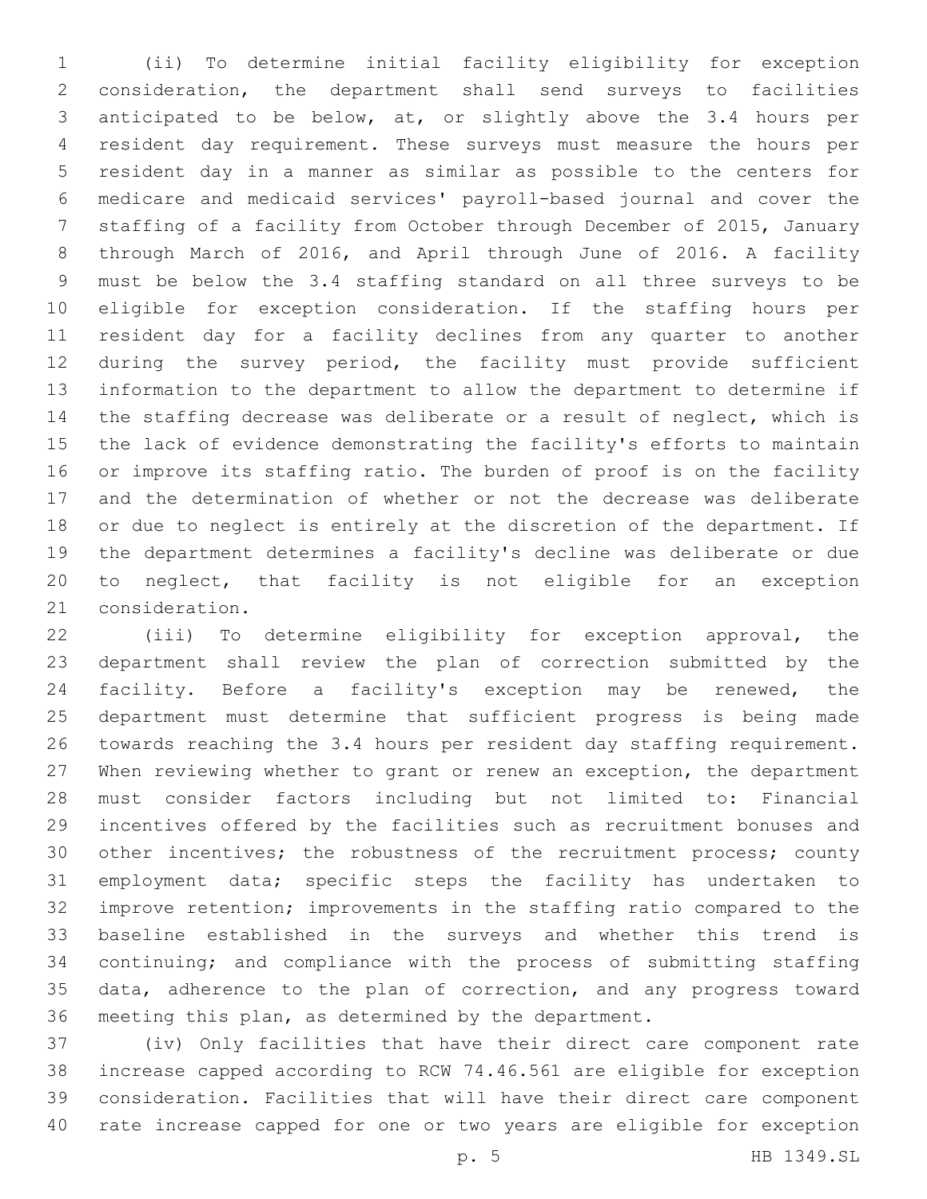(ii) To determine initial facility eligibility for exception consideration, the department shall send surveys to facilities anticipated to be below, at, or slightly above the 3.4 hours per resident day requirement. These surveys must measure the hours per resident day in a manner as similar as possible to the centers for medicare and medicaid services' payroll-based journal and cover the staffing of a facility from October through December of 2015, January through March of 2016, and April through June of 2016. A facility must be below the 3.4 staffing standard on all three surveys to be eligible for exception consideration. If the staffing hours per resident day for a facility declines from any quarter to another during the survey period, the facility must provide sufficient information to the department to allow the department to determine if the staffing decrease was deliberate or a result of neglect, which is the lack of evidence demonstrating the facility's efforts to maintain or improve its staffing ratio. The burden of proof is on the facility and the determination of whether or not the decrease was deliberate or due to neglect is entirely at the discretion of the department. If the department determines a facility's decline was deliberate or due to neglect, that facility is not eligible for an exception 21 consideration.

 (iii) To determine eligibility for exception approval, the department shall review the plan of correction submitted by the facility. Before a facility's exception may be renewed, the department must determine that sufficient progress is being made towards reaching the 3.4 hours per resident day staffing requirement. When reviewing whether to grant or renew an exception, the department must consider factors including but not limited to: Financial incentives offered by the facilities such as recruitment bonuses and other incentives; the robustness of the recruitment process; county employment data; specific steps the facility has undertaken to improve retention; improvements in the staffing ratio compared to the baseline established in the surveys and whether this trend is continuing; and compliance with the process of submitting staffing data, adherence to the plan of correction, and any progress toward meeting this plan, as determined by the department.

 (iv) Only facilities that have their direct care component rate increase capped according to RCW 74.46.561 are eligible for exception consideration. Facilities that will have their direct care component rate increase capped for one or two years are eligible for exception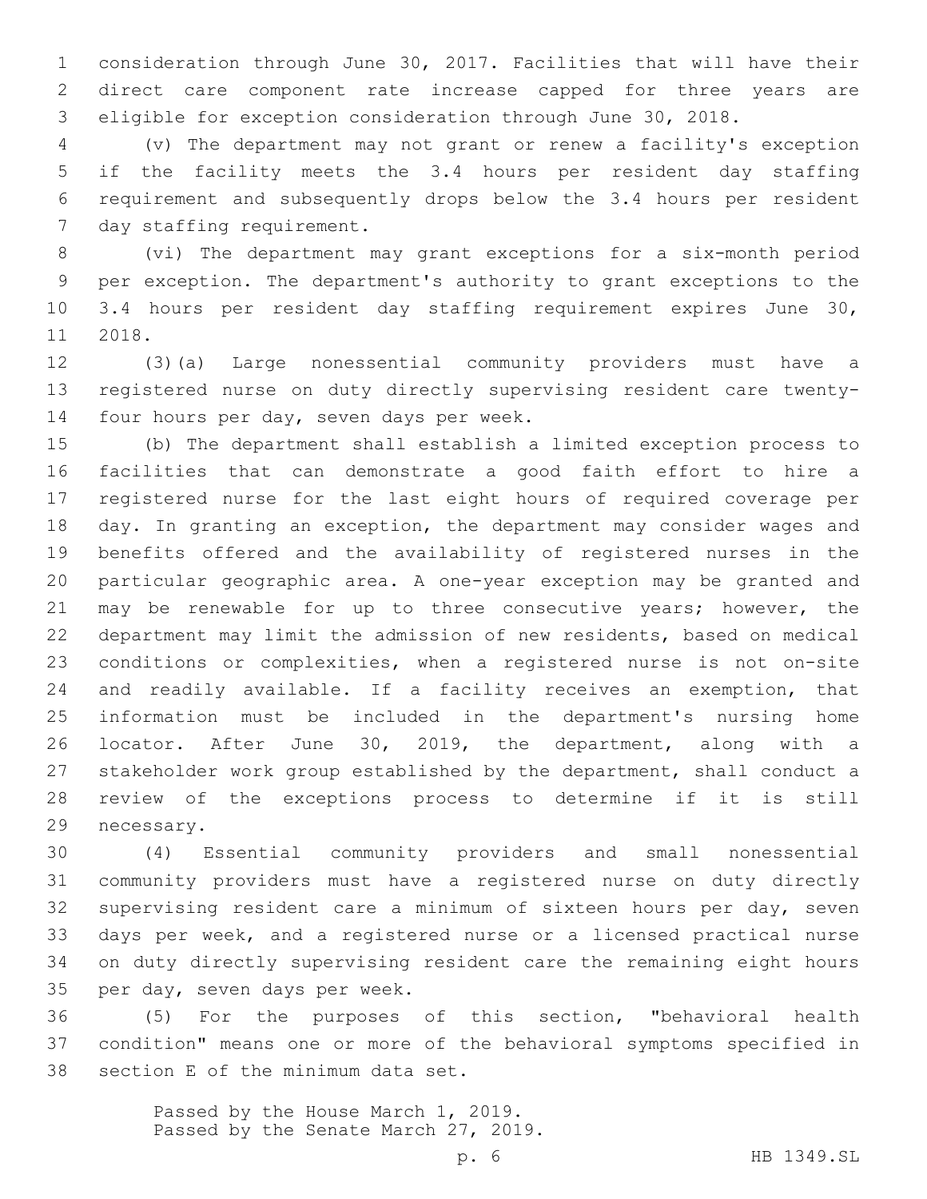consideration through June 30, 2017. Facilities that will have their direct care component rate increase capped for three years are eligible for exception consideration through June 30, 2018.

 (v) The department may not grant or renew a facility's exception if the facility meets the 3.4 hours per resident day staffing requirement and subsequently drops below the 3.4 hours per resident 7 day staffing requirement.

 (vi) The department may grant exceptions for a six-month period per exception. The department's authority to grant exceptions to the 3.4 hours per resident day staffing requirement expires June 30, 11 2018.

 (3)(a) Large nonessential community providers must have a registered nurse on duty directly supervising resident care twenty-14 four hours per day, seven days per week.

 (b) The department shall establish a limited exception process to facilities that can demonstrate a good faith effort to hire a registered nurse for the last eight hours of required coverage per day. In granting an exception, the department may consider wages and benefits offered and the availability of registered nurses in the particular geographic area. A one-year exception may be granted and 21 may be renewable for up to three consecutive years; however, the department may limit the admission of new residents, based on medical conditions or complexities, when a registered nurse is not on-site and readily available. If a facility receives an exemption, that information must be included in the department's nursing home locator. After June 30, 2019, the department, along with a stakeholder work group established by the department, shall conduct a review of the exceptions process to determine if it is still 29 necessary.

 (4) Essential community providers and small nonessential community providers must have a registered nurse on duty directly supervising resident care a minimum of sixteen hours per day, seven days per week, and a registered nurse or a licensed practical nurse on duty directly supervising resident care the remaining eight hours 35 per day, seven days per week.

 (5) For the purposes of this section, "behavioral health condition" means one or more of the behavioral symptoms specified in 38 section E of the minimum data set.

> Passed by the House March 1, 2019. Passed by the Senate March 27, 2019.